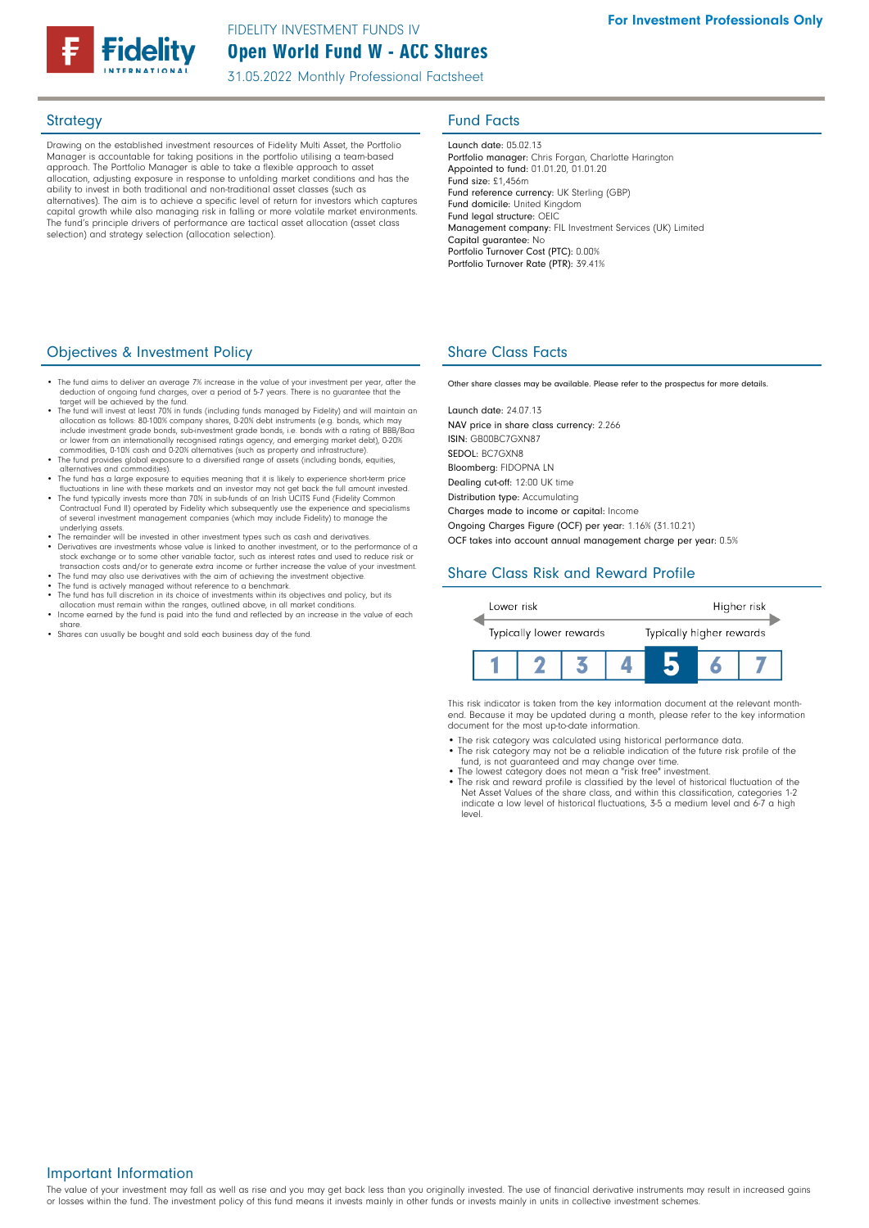# Open World Fund W - ACC Shares FIDELITY INVESTMENT FUNDS IV

31.05.2022 Monthly Professional Factsheet

Drawing on the established investment resources of Fidelity Multi Asset, the Portfolio Manager is accountable for taking positions in the portfolio utilising a team-based approach. The Portfolio Manager is able to take a flexible approach to asset allocation, adjusting exposure in response to unfolding market conditions and has the ability to invest in both traditional and non-traditional asset classes (such as alternatives). The aim is to achieve a specific level of return for investors which captures capital growth while also managing risk in falling or more volatile market environments. The fund's principle drivers of performance are tactical asset allocation (asset class selection) and strategy selection (allocation selection).

# Strategy **Fund Facts**

Launch date: 05.02.13 Portfolio manager: Chris Forgan, Charlotte Harington Appointed to fund: 01.01.20, 01.01.20 Fund size: £1,456m Fund reference currency: UK Sterling (GBP) Fund domicile: United Kingdom Fund legal structure: OEIC Management company: FIL Investment Services (UK) Limited Capital guarantee: No Portfolio Turnover Cost (PTC): 0.00% Portfolio Turnover Rate (PTR): 39.41%

## **Objectives & Investment Policy Share Class Facts** Share Class Facts

- The fund aims to deliver an average 7% increase in the value of your investment per year, after the deduction of ongoing fund charges, over a period of 5-7 years. There is no guarantee that the target will be achieved by the fund.
- The fund will invest at least 70% in funds (including funds managed by Fidelity) and will maintain an •<br>allocation as follows: 80-100% company shares, 0-20% debt instruments (e.g. bonds, which may<br>include investment grad
- or lower from an internationally recognised ratings agency, and emerging market debt), 0-20%<br>commodities, 0-10% cash and 0-20% alternatives (such as property and infrastructure).<br>• The fund provides global exposure to a di
- alternatives and commodities). The fund has a large exposure to equities meaning that it is likely to experience short-term price
- fluctuations in line with these markets and an investor may not get back the full amount invested.<br>• The fund typically invests more than 70% in sub-funds of an Irish UCITS Fund (Fidelity Common<br>Contractual Fund II) operat
- of several investment management companies (which may include Fidelity) to manage the underlying assets. The remainder will be invested in other investment types such as cash and derivatives
- Derivatives are investments whose value is linked to another investment, or to the performance of a stock exchange or to some other variable factor, such as interest rates and used to reduce risk or transaction costs and/or to generate extra income or further increase the value of your investment.<br>• The fund may also use derivatives with the aim of achieving the investment objective.<br>• The fund is actively managed wi
- 
- The fund has full discretion in its choice of investments within its objectives and policy, but its
- allocation must remain within the ranges, outlined above, in all market conditions. Income earned by the fund is paid into the fund and reflected by an increase in the value of each share.
- Shares can usually be bought and sold each business day of the fund.

Other share classes may be available. Please refer to the prospectus for more details.

Launch date: 24.07.13 NAV price in share class currency: 2.266 ISIN: GB00BC7GXN87 SEDOL: BC7GXN8 Bloomberg: FIDOPNA LN Dealing cut-off: 12:00 UK time Distribution type: Accumulating Charges made to income or capital: Income

Ongoing Charges Figure (OCF) per year: 1.16% (31.10.21)

OCF takes into account annual management charge per year: 0.5%

# Share Class Risk and Reward Profile



This risk indicator is taken from the key information document at the relevant monthend. Because it may be updated during a month, please refer to the key information document for the most up-to-date information.

- The risk category was calculated using historical performance data.
- The risk category may not be a reliable indication of the future risk profile of the fund, is not guaranteed and may change over time.
- The lowest category does not mean a "risk free" investment. The risk and reward profile is classified by the level of historical fluctuation of the Net Asset Values of the share class, and within this classification, categories 1-2
- indicate a low level of historical fluctuations, 3-5 a medium level and 6-7 a high level.

### Important Information

The value of your investment may fall as well as rise and you may get back less than you originally invested. The use of financial derivative instruments may result in increased gains or losses within the fund. The investment policy of this fund means it invests mainly in other funds or invests mainly in units in collective investment schemes.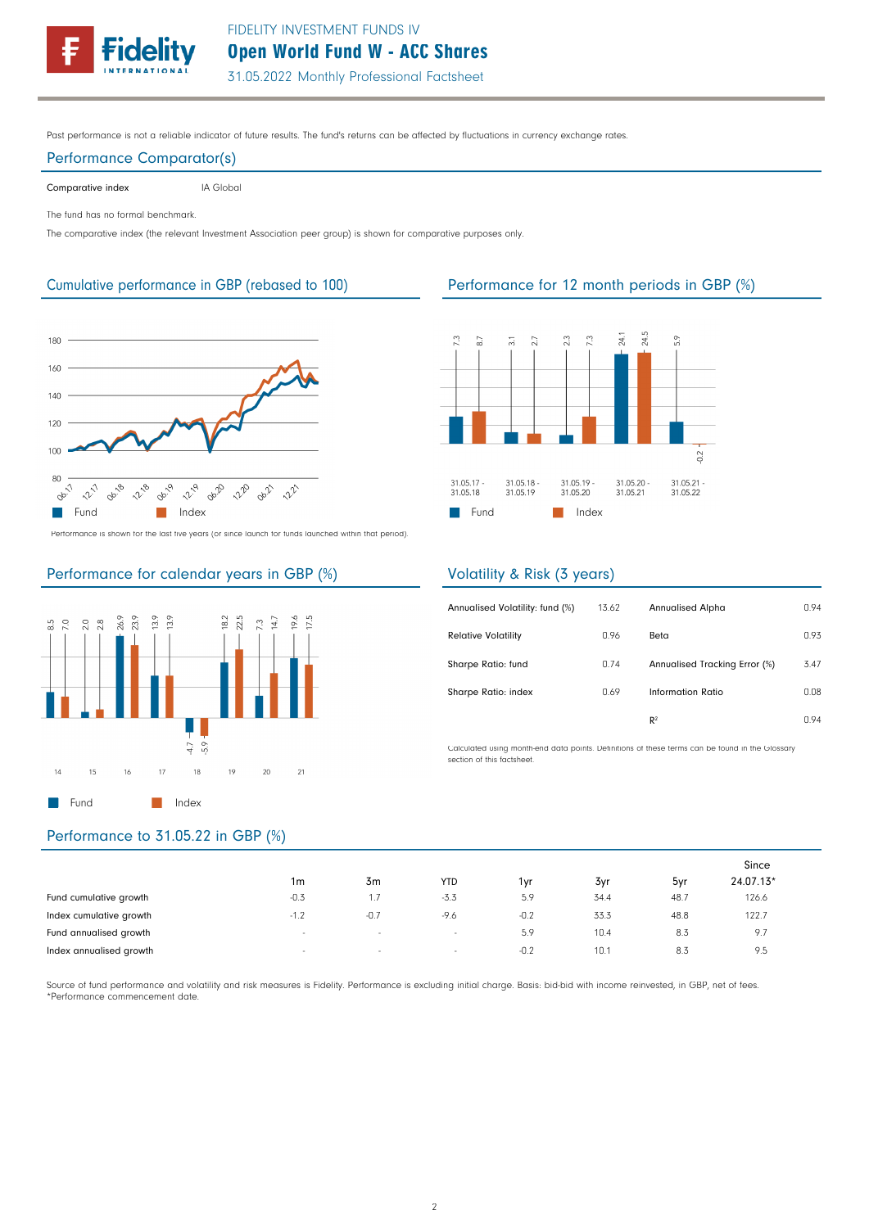

Past performance is not a reliable indicator of future results. The fund's returns can be affected by fluctuations in currency exchange rates.

### Performance Comparator(s)

Comparative index **IA Global** 

The fund has no formal benchmark.

The comparative index (the relevant Investment Association peer group) is shown for comparative purposes only.



Performance is shown for the last five years (or since launch for funds launched within that period).

# Performance for calendar years in GBP (%)



# Performance to 31.05.22 in GBP (%)

|                         |                          |        |                          |        |      |      | Since     |  |
|-------------------------|--------------------------|--------|--------------------------|--------|------|------|-----------|--|
|                         | 1m                       | 3m     | <b>YTD</b>               | 1vr    | 3yr  | 5yr  | 24.07.13* |  |
| Fund cumulative growth  | $-0.3$                   | 1.7    | $-3.3$                   | 5.9    | 34.4 | 48.7 | 126.6     |  |
| Index cumulative growth | $-1.2$                   | $-0.7$ | $-9.6$                   | $-0.2$ | 33.3 | 48.8 | 122.7     |  |
| Fund annualised growth  | $\overline{\phantom{a}}$ | $\sim$ | $\overline{\phantom{a}}$ | 5.9    | 10.4 | 8.3  | 9.7       |  |
| Index annualised growth | $\overline{\phantom{a}}$ | $\sim$ | $\sim$                   | $-0.2$ | 10.1 | 8.3  | 9.5       |  |

Source of fund performance and volatility and risk measures is Fidelity. Performance is excluding initial charge. Basis: bid-bid with income reinvested, in GBP, net of fees. \*Performance commencement date.

## Cumulative performance in GBP (rebased to 100) Performance for 12 month periods in GBP (%)



## Volatility & Risk (3 years)

| Annualised Volatility: fund (%) | 13.62 | <b>Annualised Alpha</b>       | 0.94 |
|---------------------------------|-------|-------------------------------|------|
| <b>Relative Volatility</b>      | 0.96  | Beta                          | 0.93 |
| Sharpe Ratio: fund              | 0.74  | Annualised Tracking Error (%) | 3.47 |
| Sharpe Ratio: index             | 0.69  | Information Ratio             | 0.08 |
|                                 |       | R <sup>2</sup>                | n 94 |

Calculated using month-end data points. Definitions of these terms can be found in the Glossary section of this factsheet.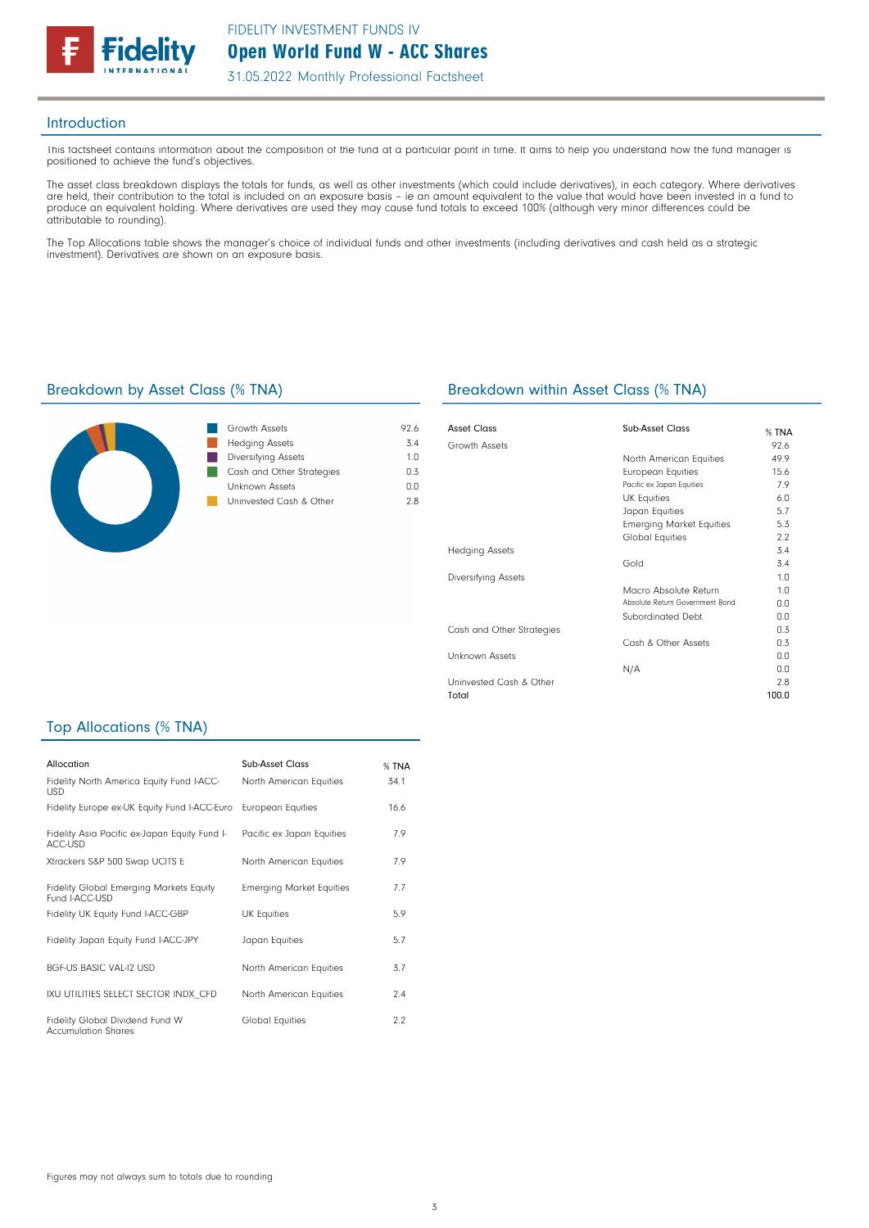

### Introduction

This factsheet contains information about the composition of the fund at a particular point in time. It aims to help you understand how the fund manager is positioned to achieve the fund's objectives.

The asset class breakdown displays the totals for funds, as well as other investments (which could include derivatives), in each category. Where derivatives are held, their contribution to the total is included on an exposure basis – ie an amount equivalent to the value that would have been invested in a fund to produce an equivalent holding. Where derivatives are used they may cause fund totals to exceed 100% (although very minor differences could be attributable to rounding).

The Top Allocations table shows the manager's choice of individual funds and other investments (including derivatives and cash held as a strategic investment). Derivatives are shown on an exposure basis.



| Growth Assets              | 926 |
|----------------------------|-----|
| <b>Hedging Assets</b>      | 34  |
| <b>Diversifying Assets</b> | 1 N |
| Cash and Other Strategies  | በ 3 |
| Unknown Assets             | n n |
| Uninvested Cash & Other    | 28  |
|                            |     |

### Breakdown by Asset Class (% TNA) Breakdown within Asset Class (% TNA)

| Asset Class                | Sub-Asset Class                 | $%$ TNA        |
|----------------------------|---------------------------------|----------------|
| Growth Assets              |                                 | 92.6           |
|                            | North American Equities         | 49.9           |
|                            | <b>European Equities</b>        | 15.6           |
|                            | Pacific ex Japan Equities       | 7.9            |
|                            | <b>UK Equities</b>              | 6.0            |
|                            | Japan Equities                  | 5.7            |
|                            | <b>Emerging Market Equities</b> | 5.3            |
|                            | <b>Global Equities</b>          | 2.2            |
| <b>Hedging Assets</b>      |                                 | 3.4            |
|                            | Gold                            | 3.4            |
| <b>Diversifying Assets</b> |                                 | 1.0            |
|                            | Macro Absolute Return           | 1 <sub>0</sub> |
|                            | Absolute Return Government Bond | 0.0            |
|                            | Subordinated Debt               | 0.0            |
| Cash and Other Strategies  |                                 | 0.3            |
|                            | Cash & Other Assets             | 0.3            |
| Unknown Assets             |                                 | 0.0            |
|                            | N/A                             | 0.0            |
| Uninvested Cash & Other    |                                 | 2.8            |
| Total                      |                                 | 100.0          |

### Top Allocations (% TNA)

| Allocation                                                    | Sub-Asset Class                 | % TNA |
|---------------------------------------------------------------|---------------------------------|-------|
| Fidelity North America Equity Fund I-ACC-<br><b>USD</b>       | North American Equities         | 34.1  |
| Fidelity Europe ex-UK Equity Fund I-ACC-Euro                  | <b>European Equities</b>        | 16.6  |
| Fidelity Asia Pacific ex-Japan Equity Fund I-<br>ACC-USD      | Pacific ex Japan Equities       | 7.9   |
| Xtrackers S&P 500 Swap UCITS E                                | North American Equities         | 7.9   |
| Fidelity Global Emerging Markets Equity<br>Fund I-ACC-USD     | <b>Emerging Market Equities</b> | 7.7   |
| Fidelity UK Equity Fund I-ACC-GBP                             | <b>UK Equities</b>              | 5.9   |
| Fidelity Japan Equity Fund I-ACC-JPY                          | Japan Equities                  | 5.7   |
| <b>BGF-US BASIC VAL-12 USD</b>                                | North American Equities         | 3.7   |
| IXU UTILITIES SELECT SECTOR INDX CFD                          | North American Equities         | 2.4   |
| Fidelity Global Dividend Fund W<br><b>Accumulation Shares</b> | <b>Global Equities</b>          | 2.2   |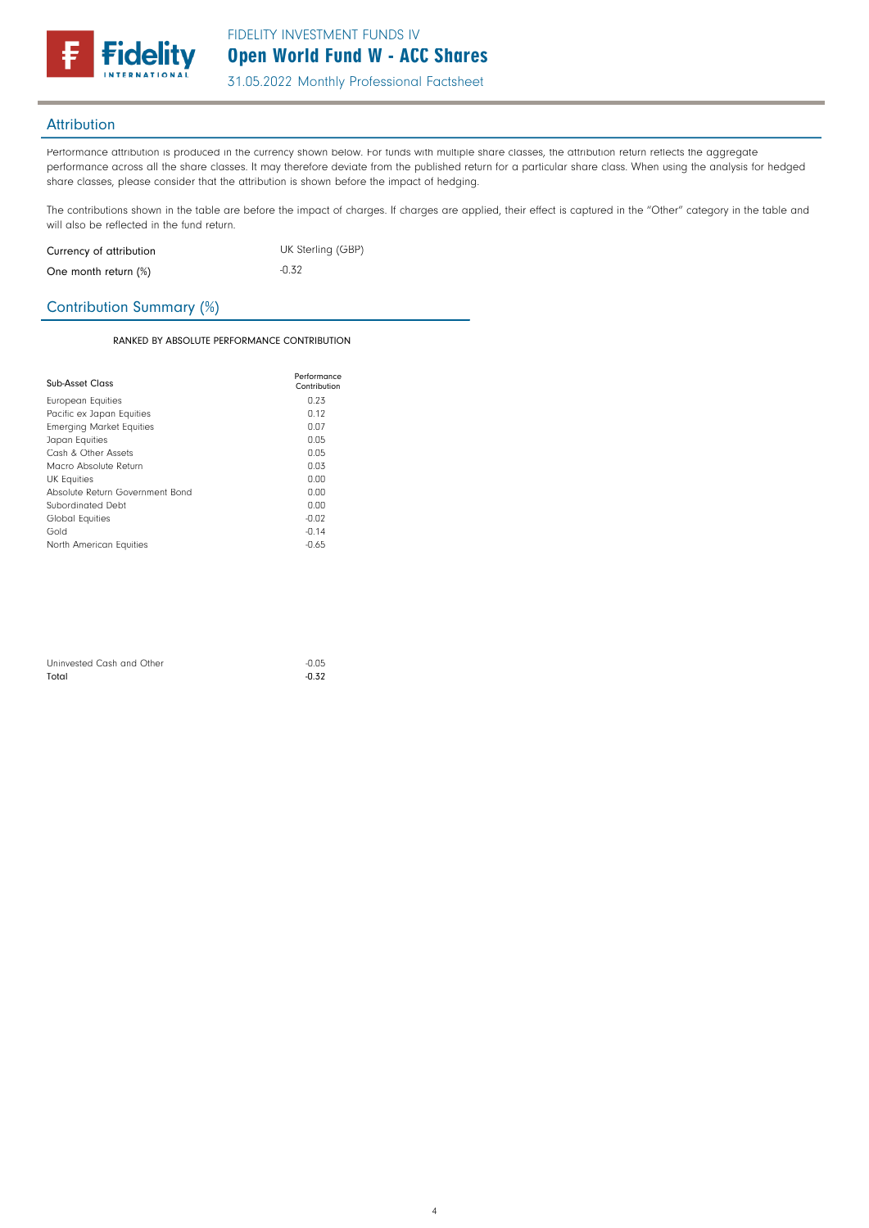

## **Attribution**

Performance attribution is produced in the currency shown below. For funds with multiple share classes, the attribution return reflects the aggregate performance across all the share classes. It may therefore deviate from the published return for a particular share class. When using the analysis for hedged share classes, please consider that the attribution is shown before the impact of hedging.

The contributions shown in the table are before the impact of charges. If charges are applied, their effect is captured in the "Other" category in the table and will also be reflected in the fund return.

| Currency of attribution | UK Sterling (GBP) |
|-------------------------|-------------------|
| One month return (%)    | $-0.32$           |

## Contribution Summary (%)

### RANKED BY ABSOLUTE PERFORMANCE CONTRIBUTION

| Sub-Asset Class                 | Performance<br>Contribution |
|---------------------------------|-----------------------------|
| European Equities               | 0.23                        |
| Pacific ex Japan Equities       | 0.12                        |
| <b>Emerging Market Equities</b> | 0.07                        |
| Japan Equities                  | 0.05                        |
| Cash & Other Assets             | 0.05                        |
| Macro Absolute Return           | 0.03                        |
| <b>UK Equities</b>              | 0.00                        |
| Absolute Return Government Bond | 0.00                        |
| Subordinated Debt               | 0.00                        |
| Global Equities                 | $-0.02$                     |
| Gold                            | $-0.14$                     |
| North American Equities         | $-0.65$                     |

| Uninvested Cash and Other | $-0.05$ |
|---------------------------|---------|
| Total                     | $-0.32$ |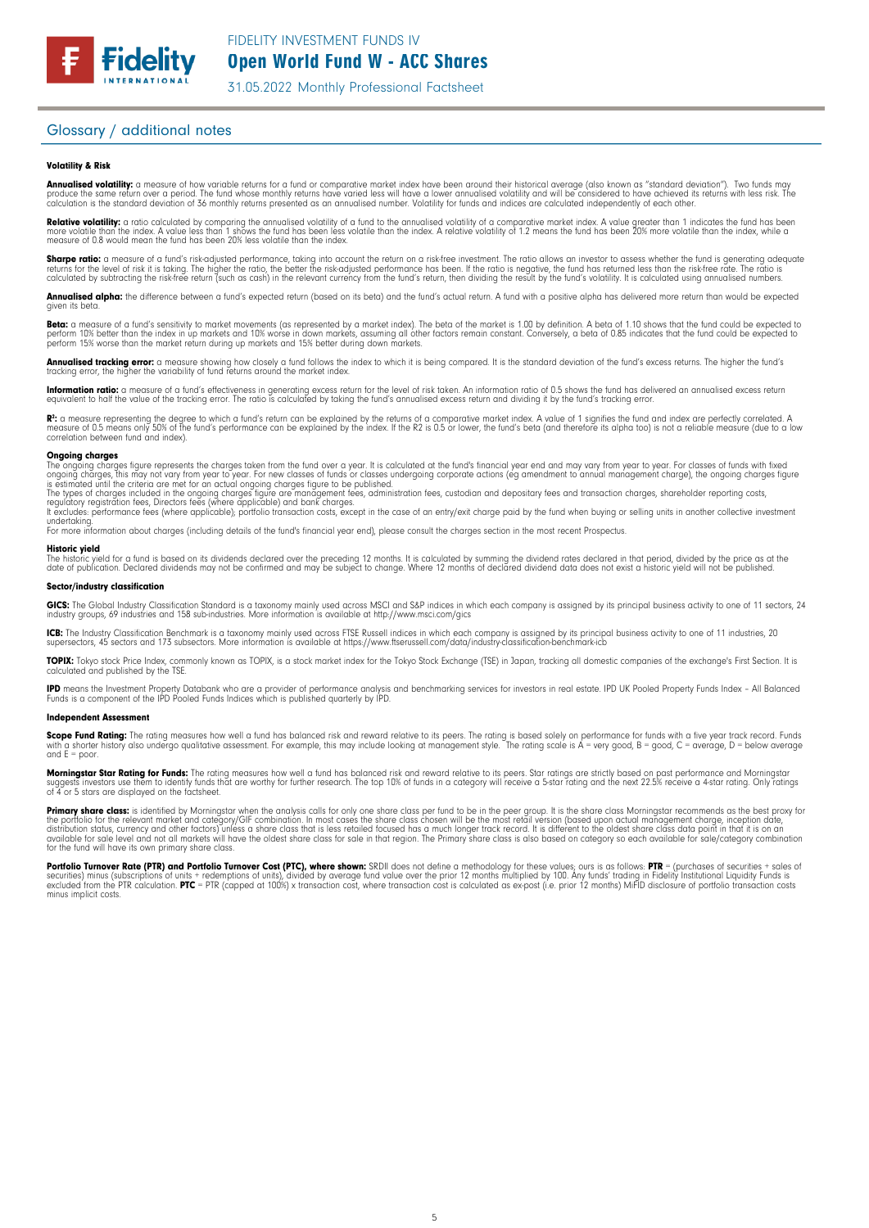

### Glossary / additional notes

### Volatility & Risk

**Annualised volatility:** a measure of how variable returns for a fund or comparative market index have been around their historical average (also known as "standard deviation"). Two funds may<br>produce the same return over a calculation is the standard deviation of 36 monthly returns presented as an annualised number. Volatility for funds and indices are calculated independently of each other.

**Relative volatility:** a ratio calculated by comparing the annualised volatility of a fund to the annualised volatility of a comparative market index. A value greater than 1 indicates the fund has been<br>more volatile than t measure of 0.8 would mean the fund has been 20% less volatile than the index.

**Sharpe ratio:** a measure of a fund's risk-adjusted performance, taking into account the return on a risk-free investment. The ratio allows an investor to assess whether the fund is generating adequate the fund is generati

**Annualised alpha:** the difference between a fund's expected return (based on its beta) and the fund's actual return. A fund with a positive alpha has delivered more return than would be expected given its beto

**Beta:** a measure of a fund's sensitivity to market movements (as represented by a market index). The beta of the market is 1.00 by definition. A beta of 1.10 shows that the fund could be expected to<br>perform 10% better tha

**Annualised tracking error:** a measure showing how closely a fund follows the index to which it is being compared. It is the standard deviation of the fund's excess returns. The higher the fund's<br>tracking error, the higher

**Information ratio:** a measure of a fund's effectiveness in generating excess return for the level of risk taken. An information ratio of 0.5 shows the fund has delivered an annualised excess return<br>equivalent to half the

R": a measure representing the degree to which a fund's return can be explained by the returns of a comparative market index. A value of 1 signifies the fund and index are perfectly correlated. A<br>measure of 0.5 means only correlation between fund and index).

### **Ongoing charges**<br>The ongoing charge

The ongoing charges figure represents the charges taken from the fund over a year. It is calculated at the fund's financial year end and may vary from year to year. For classes of funds with fixed<br>ongoing charges, this may

The types of charges included in the ongoing charges figure are management fees, administration fees, custodian and depositary fees and transaction charges, shareholder reporting costs,<br>regulatory registration fees, Direct

undertaking. For more information about charges (including details of the fund's financial year end), please consult the charges section in the most recent Prospectus.

### Historic yield

The historic yield for a fund is based on its dividends declared over the preceding 12 months. It is calculated by summing the dividend rates declared in that period, divided by the price as at the<br>date of publication. Dec

### Sector/industry classification

**GICS:** The Global Industry Classification Standard is a taxonomy mainly used across MSCI and S&P indices in which each company is assigned by its principal business activity to one of 11 sectors, 24<br>industry groups, 69 in

**ICB:** The Industry Classification Benchmark is a taxonomy mainly used across FTSE Russell indices in which each company is assigned by its principal business activity to one of 11 industries, 20<br>supersectors, 45 sectors a

**TOPIX:** Tokyo stock Price Index, commonly known as TOPIX, is a stock market index for the Tokyo Stock Exchange (TSE) in Japan, tracking all domestic companies of the exchange's First Section. It is<br>calculated and publishe

**IPD** means the Investment Property Databank who are a provider of performance analysis and benchmarking services for investors in real estate. IPD UK Pooled Property Funds Index - All Balanced<br>Funds is a component of the

### Independent Assessment

**Scope Fund Rating:** The rating measures how well a fund has balanced risk and reward relative to its peers. The rating is based solely on performance for funds with a five year track record. Funds<br>with a shorter history a and  $F =$  poor.

**Morningstar Star Rating for Funds:** The rating measures how well a fund has balanced risk and reward relative to its peers. Star ratings are strictly based on past performance and Morningstar<br>suggests investors use them t

**Primary share class:** is identified by Morningstar when the analysis calls tor only one share class per fund to be in the peer group. It is the share class Morningstar recommends as the best proxy for<br>the portfolio for th

Portfolio Turnover Rate (PTR) and Portfolio Turnover Cost (PTC), where shown: SRDII does not define a methodology for these values; ours is as follows: PTR = (purchases of securities + sales of<br>securities) minus (subscript minus implicit costs.